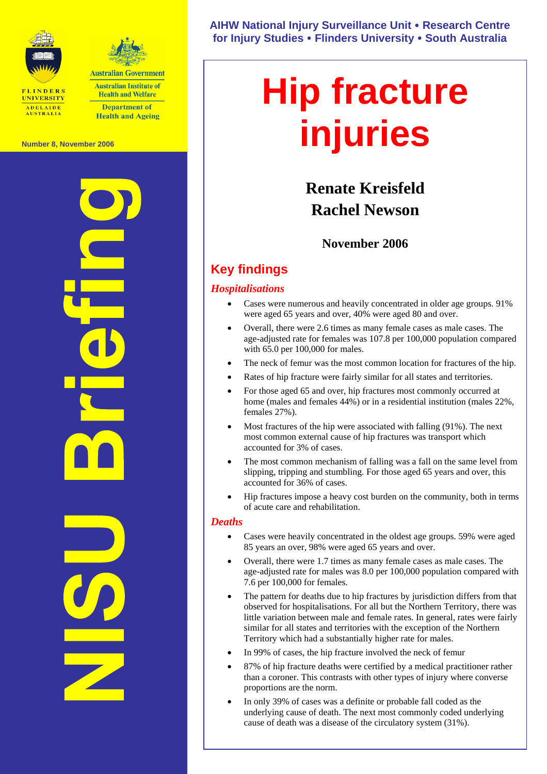



**Australian Institute of Health and Welfare Department of Health and Ageing** 

**Number 8, November 2006** 

**NISU Briefing** 

**AIHW National Injury Surveillance Unit** y **Research Centre for Injury Studies** y **Flinders University** y **South Australia** 

# **Hip fracture injuries**

# **Renate Kreisfeld Rachel Newson**

# **November 2006**

# **Key findings**

#### *Hospitalisations*

- Cases were numerous and heavily concentrated in older age groups. 91% were aged 65 years and over, 40% were aged 80 and over.
- Overall, there were 2.6 times as many female cases as male cases. The age-adjusted rate for females was 107.8 per 100,000 population compared with 65.0 per 100,000 for males.
- The neck of femur was the most common location for fractures of the hip.
- Rates of hip fracture were fairly similar for all states and territories.
- For those aged 65 and over, hip fractures most commonly occurred at home (males and females 44%) or in a residential institution (males 22%, females 27%).
- Most fractures of the hip were associated with falling (91%). The next most common external cause of hip fractures was transport which accounted for 3% of cases.
- The most common mechanism of falling was a fall on the same level from slipping, tripping and stumbling. For those aged 65 years and over, this accounted for 36% of cases.
- Hip fractures impose a heavy cost burden on the community, both in terms of acute care and rehabilitation.

#### *Deaths*

- Cases were heavily concentrated in the oldest age groups. 59% were aged 85 years an over, 98% were aged 65 years and over.
- Overall, there were 1.7 times as many female cases as male cases. The age-adjusted rate for males was 8.0 per 100,000 population compared with 7.6 per 100,000 for females.
- The pattern for deaths due to hip fractures by jurisdiction differs from that observed for hospitalisations. For all but the Northern Territory, there was little variation between male and female rates. In general, rates were fairly similar for all states and territories with the exception of the Northern Territory which had a substantially higher rate for males.
- In 99% of cases, the hip fracture involved the neck of femur
- 87% of hip fracture deaths were certified by a medical practitioner rather than a coroner. This contrasts with other types of injury where converse proportions are the norm.
- In only 39% of cases was a definite or probable fall coded as the underlying cause of death. The next most commonly coded underlying cause of death was a disease of the circulatory system (31%).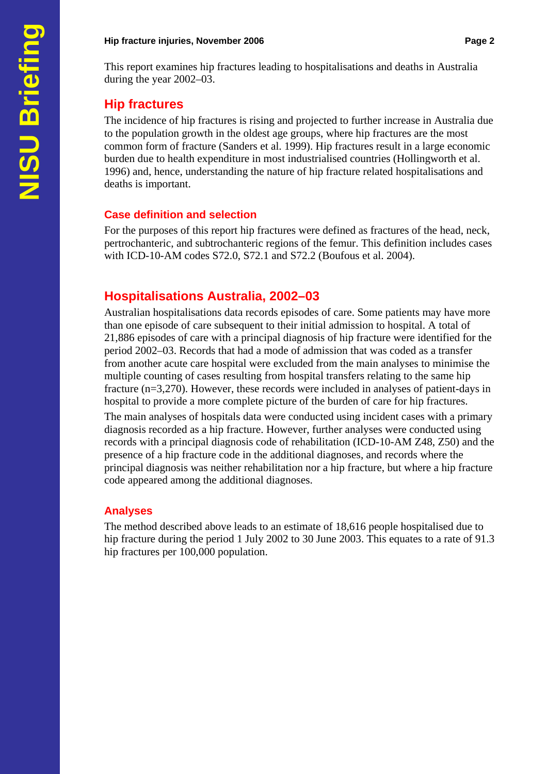#### **Hip fracture injuries, November 2006 Page 2 Page 2 Page 2**

This report examines hip fractures leading to hospitalisations and deaths in Australia during the year 2002–03.

# **Hip fractures**

The incidence of hip fractures is rising and projected to further increase in Australia due to the population growth in the oldest age groups, where hip fractures are the most common form of fracture (Sanders et al. 1999). Hip fractures result in a large economic burden due to health expenditure in most industrialised countries (Hollingworth et al. 1996) and, hence, understanding the nature of hip fracture related hospitalisations and deaths is important.

# **Case definition and selection**

For the purposes of this report hip fractures were defined as fractures of the head, neck, pertrochanteric, and subtrochanteric regions of the femur. This definition includes cases with ICD-10-AM codes S72.0, S72.1 and S72.2 (Boufous et al. 2004).

# **Hospitalisations Australia, 2002–03**

Australian hospitalisations data records episodes of care. Some patients may have more than one episode of care subsequent to their initial admission to hospital. A total of 21,886 episodes of care with a principal diagnosis of hip fracture were identified for the period 2002–03. Records that had a mode of admission that was coded as a transfer from another acute care hospital were excluded from the main analyses to minimise the multiple counting of cases resulting from hospital transfers relating to the same hip fracture (n=3,270). However, these records were included in analyses of patient-days in hospital to provide a more complete picture of the burden of care for hip fractures.

The main analyses of hospitals data were conducted using incident cases with a primary diagnosis recorded as a hip fracture. However, further analyses were conducted using records with a principal diagnosis code of rehabilitation (ICD-10-AM Z48, Z50) and the presence of a hip fracture code in the additional diagnoses, and records where the principal diagnosis was neither rehabilitation nor a hip fracture, but where a hip fracture code appeared among the additional diagnoses.

# **Analyses**

The method described above leads to an estimate of 18,616 people hospitalised due to hip fracture during the period 1 July 2002 to 30 June 2003. This equates to a rate of 91.3 hip fractures per 100,000 population.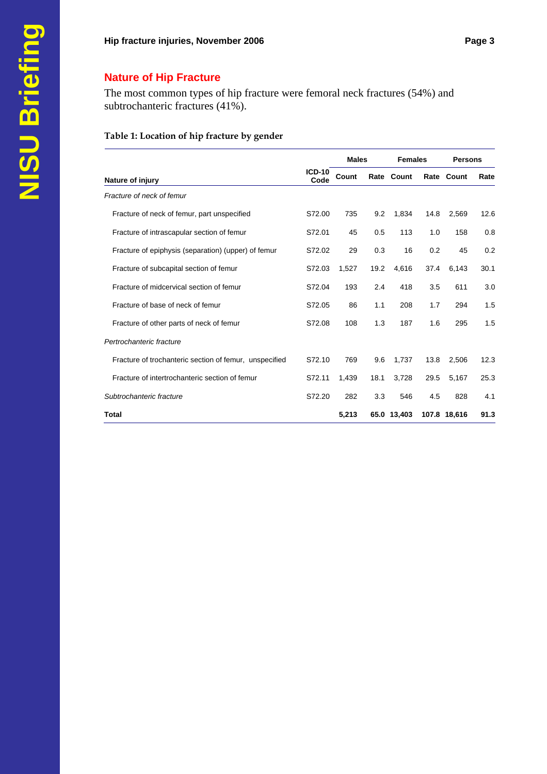# **Nature of Hip Fracture**

The most common types of hip fracture were femoral neck fractures (54%) and subtrochanteric fractures (41%).

#### **Table 1: Location of hip fracture by gender**

|                                                        |                       | <b>Males</b> |      | <b>Females</b> |      | <b>Persons</b> |      |
|--------------------------------------------------------|-----------------------|--------------|------|----------------|------|----------------|------|
| Nature of injury                                       | <b>ICD-10</b><br>Code | Count        |      | Rate Count     |      | Rate Count     | Rate |
| Fracture of neck of femur                              |                       |              |      |                |      |                |      |
| Fracture of neck of femur, part unspecified            | S72.00                | 735          | 9.2  | 1,834          | 14.8 | 2.569          | 12.6 |
| Fracture of intrascapular section of femur             | S72.01                | 45           | 0.5  | 113            | 1.0  | 158            | 0.8  |
| Fracture of epiphysis (separation) (upper) of femur    | S72.02                | 29           | 0.3  | 16             | 0.2  | 45             | 0.2  |
| Fracture of subcapital section of femur                | S72.03                | 1,527        | 19.2 | 4,616          | 37.4 | 6,143          | 30.1 |
| Fracture of midcervical section of femur               | S72.04                | 193          | 2.4  | 418            | 3.5  | 611            | 3.0  |
| Fracture of base of neck of femur                      | S72.05                | 86           | 1.1  | 208            | 1.7  | 294            | 1.5  |
| Fracture of other parts of neck of femur               | S72.08                | 108          | 1.3  | 187            | 1.6  | 295            | 1.5  |
| Pertrochanteric fracture                               |                       |              |      |                |      |                |      |
| Fracture of trochanteric section of femur, unspecified | S72.10                | 769          | 9.6  | 1,737          | 13.8 | 2,506          | 12.3 |
| Fracture of intertrochanteric section of femur         | S72.11                | 1,439        | 18.1 | 3,728          | 29.5 | 5,167          | 25.3 |
| Subtrochanteric fracture                               | S72.20                | 282          | 3.3  | 546            | 4.5  | 828            | 4.1  |
| <b>Total</b>                                           |                       | 5,213        |      | 65.0 13,403    |      | 107.8 18,616   | 91.3 |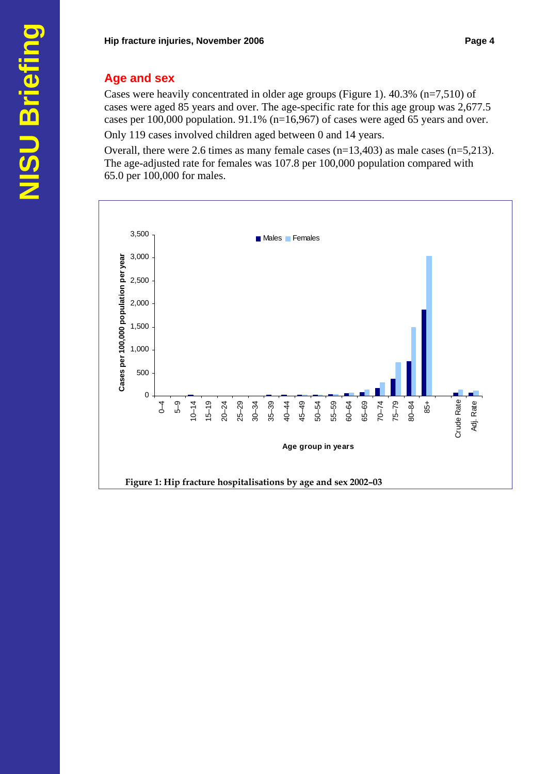# **Age and sex**

Cases were heavily concentrated in older age groups (Figure 1). 40.3% (n=7,510) of cases were aged 85 years and over. The age-specific rate for this age group was 2,677.5 cases per 100,000 population. 91.1% (n=16,967) of cases were aged 65 years and over. Only 119 cases involved children aged between 0 and 14 years.

Overall, there were 2.6 times as many female cases (n=13,403) as male cases (n=5,213). The age-adjusted rate for females was 107.8 per 100,000 population compared with 65.0 per 100,000 for males.

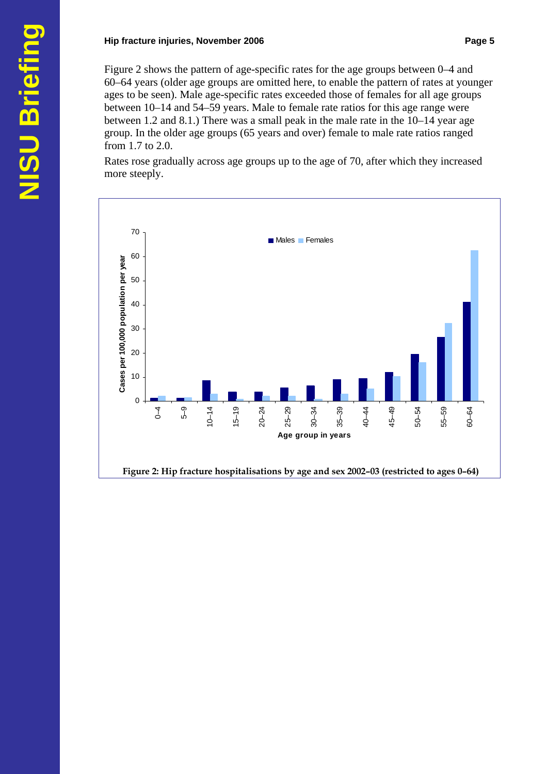#### **Hip fracture injuries, November 2006 Page 5 Page 5**

Figure 2 shows the pattern of age-specific rates for the age groups between 0–4 and 60–64 years (older age groups are omitted here, to enable the pattern of rates at younger ages to be seen). Male age-specific rates exceeded those of females for all age groups between 10–14 and 54–59 years. Male to female rate ratios for this age range were between 1.2 and 8.1.) There was a small peak in the male rate in the 10–14 year age group. In the older age groups (65 years and over) female to male rate ratios ranged from 1.7 to 2.0.

Rates rose gradually across age groups up to the age of 70, after which they increased more steeply.

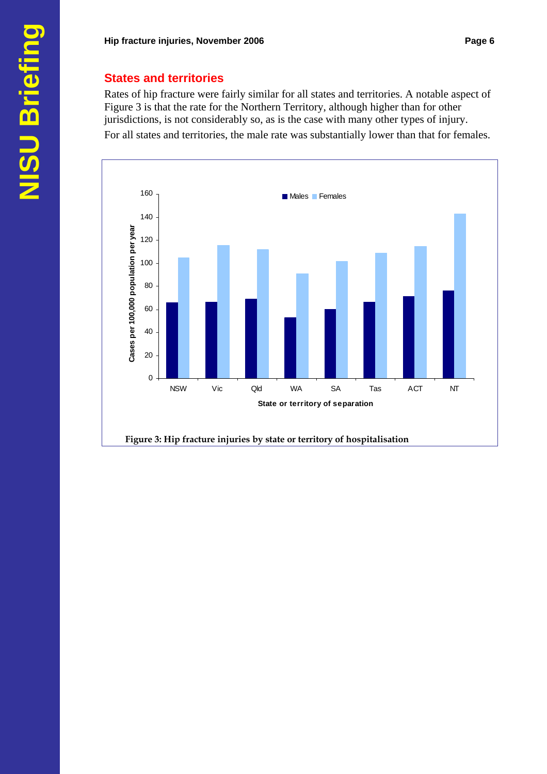#### **States and territories**

Rates of hip fracture were fairly similar for all states and territories. A notable aspect of Figure 3 is that the rate for the Northern Territory, although higher than for other jurisdictions, is not considerably so, as is the case with many other types of injury. For all states and territories, the male rate was substantially lower than that for females.

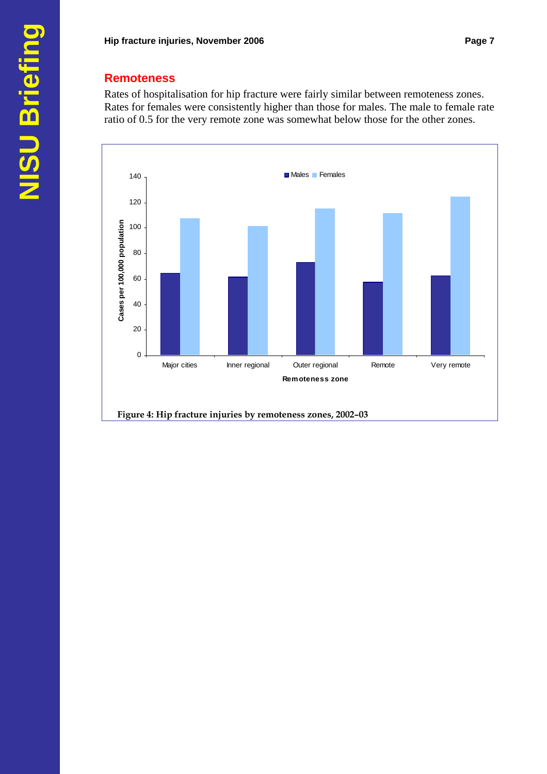### **Remoteness**

Rates of hospitalisation for hip fracture were fairly similar between remoteness zones. Rates for females were consistently higher than those for males. The male to female rate ratio of 0.5 for the very remote zone was somewhat below those for the other zones.

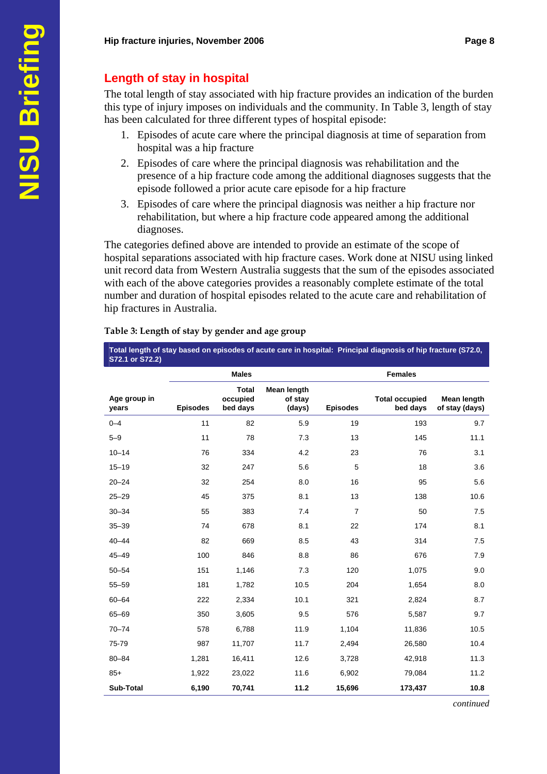# **Length of stay in hospital**

The total length of stay associated with hip fracture provides an indication of the burden this type of injury imposes on individuals and the community. In Table 3, length of stay has been calculated for three different types of hospital episode:

- 1. Episodes of acute care where the principal diagnosis at time of separation from hospital was a hip fracture
- 2. Episodes of care where the principal diagnosis was rehabilitation and the presence of a hip fracture code among the additional diagnoses suggests that the episode followed a prior acute care episode for a hip fracture
- 3. Episodes of care where the principal diagnosis was neither a hip fracture nor rehabilitation, but where a hip fracture code appeared among the additional diagnoses.

The categories defined above are intended to provide an estimate of the scope of hospital separations associated with hip fracture cases. Work done at NISU using linked unit record data from Western Australia suggests that the sum of the episodes associated with each of the above categories provides a reasonably complete estimate of the total number and duration of hospital episodes related to the acute care and rehabilitation of hip fractures in Australia.

| S72.1 or S72.2)       |                 |                                      |                                  |                 |                                   |                                      |
|-----------------------|-----------------|--------------------------------------|----------------------------------|-----------------|-----------------------------------|--------------------------------------|
|                       |                 | <b>Males</b>                         |                                  |                 | <b>Females</b>                    |                                      |
| Age group in<br>years | <b>Episodes</b> | <b>Total</b><br>occupied<br>bed days | Mean length<br>of stay<br>(days) | <b>Episodes</b> | <b>Total occupied</b><br>bed days | <b>Mean length</b><br>of stay (days) |
| $0 - 4$               | 11              | 82                                   | 5.9                              | 19              | 193                               | 9.7                                  |
| $5 - 9$               | 11              | 78                                   | 7.3                              | 13              | 145                               | 11.1                                 |
| $10 - 14$             | 76              | 334                                  | 4.2                              | 23              | 76                                | 3.1                                  |
| $15 - 19$             | 32              | 247                                  | 5.6                              | 5               | 18                                | 3.6                                  |
| $20 - 24$             | 32              | 254                                  | 8.0                              | 16              | 95                                | 5.6                                  |
| $25 - 29$             | 45              | 375                                  | 8.1                              | 13              | 138                               | 10.6                                 |
| $30 - 34$             | 55              | 383                                  | 7.4                              | $\overline{7}$  | 50                                | 7.5                                  |
| $35 - 39$             | 74              | 678                                  | 8.1                              | 22              | 174                               | 8.1                                  |
| $40 - 44$             | 82              | 669                                  | 8.5                              | 43              | 314                               | 7.5                                  |
| $45 - 49$             | 100             | 846                                  | 8.8                              | 86              | 676                               | 7.9                                  |
| $50 - 54$             | 151             | 1,146                                | 7.3                              | 120             | 1,075                             | 9.0                                  |
| $55 - 59$             | 181             | 1,782                                | 10.5                             | 204             | 1,654                             | 8.0                                  |
| $60 - 64$             | 222             | 2,334                                | 10.1                             | 321             | 2,824                             | 8.7                                  |
| $65 - 69$             | 350             | 3,605                                | 9.5                              | 576             | 5,587                             | 9.7                                  |
| $70 - 74$             | 578             | 6,788                                | 11.9                             | 1,104           | 11,836                            | 10.5                                 |
| 75-79                 | 987             | 11,707                               | 11.7                             | 2,494           | 26,580                            | 10.4                                 |
| $80 - 84$             | 1,281           | 16,411                               | 12.6                             | 3,728           | 42,918                            | 11.3                                 |
| $85+$                 | 1,922           | 23,022                               | 11.6                             | 6,902           | 79,084                            | 11.2                                 |
| Sub-Total             | 6,190           | 70,741                               | 11.2                             | 15,696          | 173,437                           | 10.8                                 |

#### **Table 3: Length of stay by gender and age group**

**Total length of stay based on episodes of acute care in hospital: Principal diagnosis of hip fracture (S72.0,** 

*continued*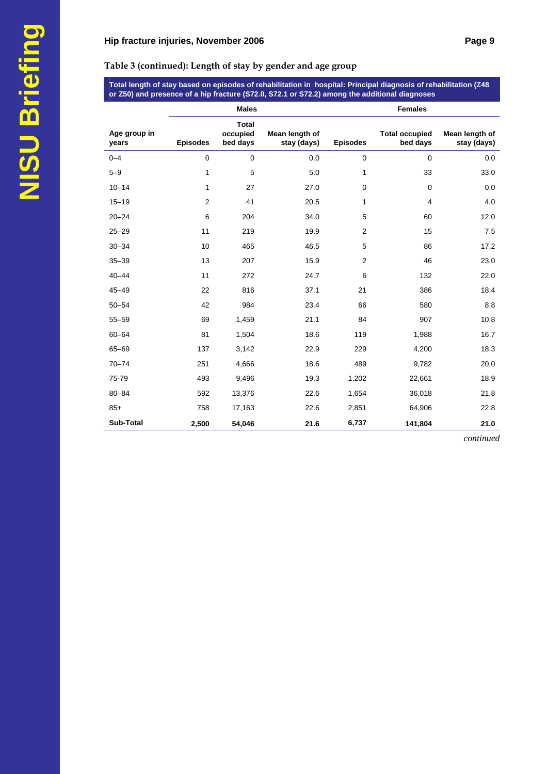**Table 3 (continued): Length of stay by gender and age group** 

**Total length of stay based on episodes of rehabilitation in hospital: Principal diagnosis of rehabilitation (Z48 or Z50) and presence of a hip fracture (S72.0, S72.1 or S72.2) among the additional diagnoses** 

|                       |                 | <b>Males</b>                         |                               |                 | <b>Females</b>                    |                               |
|-----------------------|-----------------|--------------------------------------|-------------------------------|-----------------|-----------------------------------|-------------------------------|
| Age group in<br>years | <b>Episodes</b> | <b>Total</b><br>occupied<br>bed days | Mean length of<br>stay (days) | <b>Episodes</b> | <b>Total occupied</b><br>bed days | Mean length of<br>stay (days) |
| $0 - 4$               | $\mathbf 0$     | $\mathbf 0$                          | 0.0                           | $\mathbf 0$     | $\mathbf 0$                       | 0.0                           |
| $5 - 9$               | 1               | 5                                    | 5.0                           | 1               | 33                                | 33.0                          |
| $10 - 14$             | 1               | 27                                   | 27.0                          | 0               | $\mathbf 0$                       | 0.0                           |
| $15 - 19$             | 2               | 41                                   | 20.5                          | 1               | 4                                 | 4.0                           |
| $20 - 24$             | 6               | 204                                  | 34.0                          | 5               | 60                                | 12.0                          |
| $25 - 29$             | 11              | 219                                  | 19.9                          | $\overline{2}$  | 15                                | 7.5                           |
| $30 - 34$             | 10              | 465                                  | 46.5                          | 5               | 86                                | 17.2                          |
| $35 - 39$             | 13              | 207                                  | 15.9                          | $\overline{2}$  | 46                                | 23.0                          |
| $40 - 44$             | 11              | 272                                  | 24.7                          | 6               | 132                               | 22.0                          |
| $45 - 49$             | 22              | 816                                  | 37.1                          | 21              | 386                               | 18.4                          |
| $50 - 54$             | 42              | 984                                  | 23.4                          | 66              | 580                               | 8.8                           |
| $55 - 59$             | 69              | 1,459                                | 21.1                          | 84              | 907                               | 10.8                          |
| $60 - 64$             | 81              | 1,504                                | 18.6                          | 119             | 1,988                             | 16.7                          |
| $65 - 69$             | 137             | 3,142                                | 22.9                          | 229             | 4,200                             | 18.3                          |
| $70 - 74$             | 251             | 4,666                                | 18.6                          | 489             | 9,782                             | 20.0                          |
| 75-79                 | 493             | 9,496                                | 19.3                          | 1,202           | 22,661                            | 18.9                          |
| $80 - 84$             | 592             | 13,376                               | 22.6                          | 1,654           | 36,018                            | 21.8                          |
| $85+$                 | 758             | 17,163                               | 22.6                          | 2,851           | 64,906                            | 22.8                          |
| Sub-Total             | 2,500           | 54,046                               | 21.6                          | 6,737           | 141,804                           | 21.0                          |

*continued*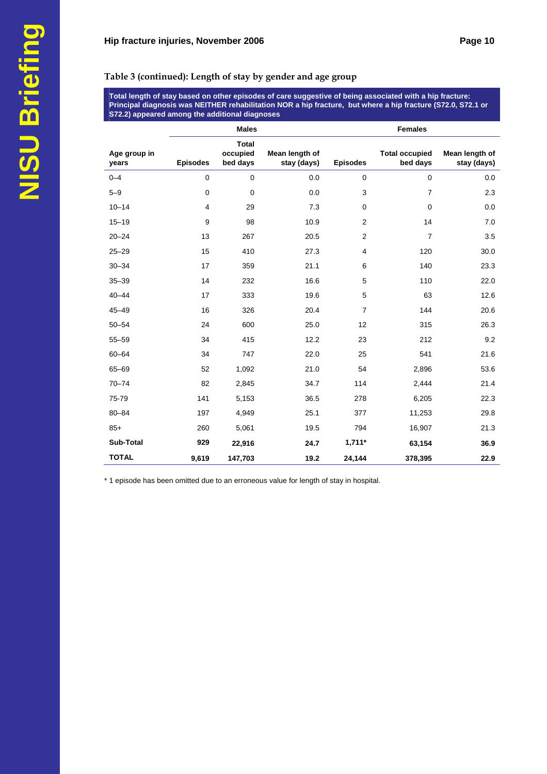#### **Table 3 (continued): Length of stay by gender and age group**

**Total length of stay based on other episodes of care suggestive of being associated with a hip fracture: Principal diagnosis was NEITHER rehabilitation NOR a hip fracture, but where a hip fracture (S72.0, S72.1 or S72.2) appeared among the additional diagnoses** 

|                       |                 | <b>Males</b>                         |                               |                 | <b>Females</b>                    |                               |
|-----------------------|-----------------|--------------------------------------|-------------------------------|-----------------|-----------------------------------|-------------------------------|
| Age group in<br>years | <b>Episodes</b> | <b>Total</b><br>occupied<br>bed days | Mean length of<br>stay (days) | <b>Episodes</b> | <b>Total occupied</b><br>bed days | Mean length of<br>stay (days) |
| $0 - 4$               | $\mathbf 0$     | $\mathbf 0$                          | 0.0                           | $\mathbf 0$     | $\mathbf 0$                       | 0.0                           |
| $5 - 9$               | $\pmb{0}$       | $\mathbf 0$                          | 0.0                           | 3               | $\overline{7}$                    | 2.3                           |
| $10 - 14$             | $\overline{4}$  | 29                                   | 7.3                           | 0               | $\mathbf 0$                       | 0.0                           |
| $15 - 19$             | 9               | 98                                   | 10.9                          | 2               | 14                                | 7.0                           |
| $20 - 24$             | 13              | 267                                  | 20.5                          | $\overline{2}$  | $\overline{7}$                    | 3.5                           |
| $25 - 29$             | 15              | 410                                  | 27.3                          | 4               | 120                               | 30.0                          |
| $30 - 34$             | 17              | 359                                  | 21.1                          | 6               | 140                               | 23.3                          |
| $35 - 39$             | 14              | 232                                  | 16.6                          | 5               | 110                               | 22.0                          |
| $40 - 44$             | 17              | 333                                  | 19.6                          | 5               | 63                                | 12.6                          |
| $45 - 49$             | 16              | 326                                  | 20.4                          | $\overline{7}$  | 144                               | 20.6                          |
| $50 - 54$             | 24              | 600                                  | 25.0                          | 12              | 315                               | 26.3                          |
| $55 - 59$             | 34              | 415                                  | 12.2                          | 23              | 212                               | 9.2                           |
| $60 - 64$             | 34              | 747                                  | 22.0                          | 25              | 541                               | 21.6                          |
| $65 - 69$             | 52              | 1,092                                | 21.0                          | 54              | 2,896                             | 53.6                          |
| $70 - 74$             | 82              | 2,845                                | 34.7                          | 114             | 2,444                             | 21.4                          |
| 75-79                 | 141             | 5,153                                | 36.5                          | 278             | 6,205                             | 22.3                          |
| $80 - 84$             | 197             | 4,949                                | 25.1                          | 377             | 11,253                            | 29.8                          |
| $85+$                 | 260             | 5,061                                | 19.5                          | 794             | 16,907                            | 21.3                          |
| Sub-Total             | 929             | 22,916                               | 24.7                          | $1,711*$        | 63,154                            | 36.9                          |
| <b>TOTAL</b>          | 9,619           | 147,703                              | 19.2                          | 24,144          | 378,395                           | 22.9                          |

\* 1 episode has been omitted due to an erroneous value for length of stay in hospital.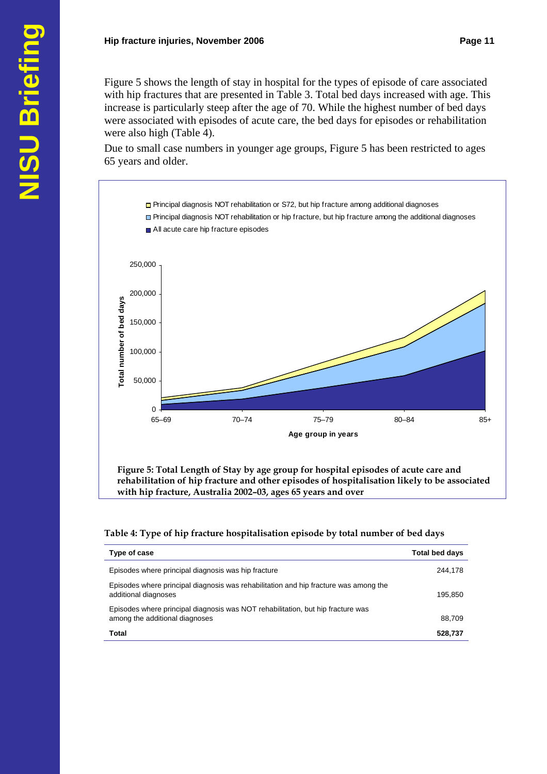Figure 5 shows the length of stay in hospital for the types of episode of care associated with hip fractures that are presented in Table 3. Total bed days increased with age. This increase is particularly steep after the age of 70. While the highest number of bed days were associated with episodes of acute care, the bed days for episodes or rehabilitation were also high (Table 4).

Due to small case numbers in younger age groups, Figure 5 has been restricted to ages 65 years and older.



**rehabilitation of hip fracture and other episodes of hospitalisation likely to be associated with hip fracture, Australia 2002–03, ages 65 years and over** 

#### **Table 4: Type of hip fracture hospitalisation episode by total number of bed days**

| Type of case                                                                                                      | <b>Total bed days</b> |
|-------------------------------------------------------------------------------------------------------------------|-----------------------|
| Episodes where principal diagnosis was hip fracture                                                               | 244.178               |
| Episodes where principal diagnosis was rehabilitation and hip fracture was among the<br>additional diagnoses      | 195,850               |
| Episodes where principal diagnosis was NOT rehabilitation, but hip fracture was<br>among the additional diagnoses | 88.709                |
| Total                                                                                                             | 528,737               |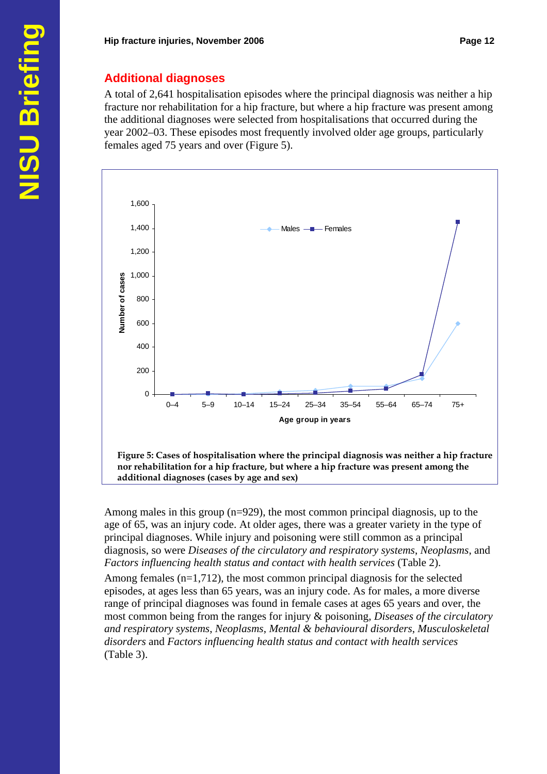# **Additional diagnoses**

A total of 2,641 hospitalisation episodes where the principal diagnosis was neither a hip fracture nor rehabilitation for a hip fracture, but where a hip fracture was present among the additional diagnoses were selected from hospitalisations that occurred during the year 2002–03. These episodes most frequently involved older age groups, particularly females aged 75 years and over (Figure 5).



Among males in this group (n=929), the most common principal diagnosis, up to the age of 65, was an injury code. At older ages, there was a greater variety in the type of principal diagnoses. While injury and poisoning were still common as a principal diagnosis, so were *Diseases of the circulatory and respiratory systems*, *Neoplasms*, and *Factors influencing health status and contact with health services* (Table 2).

Among females  $(n=1,712)$ , the most common principal diagnosis for the selected episodes, at ages less than 65 years, was an injury code. As for males, a more diverse range of principal diagnoses was found in female cases at ages 65 years and over, the most common being from the ranges for injury & poisoning, *Diseases of the circulatory and respiratory systems*, *Neoplasms*, *Mental & behavioural disorders*, *Musculoskeletal disorders* and *Factors influencing health status and contact with health services* (Table 3).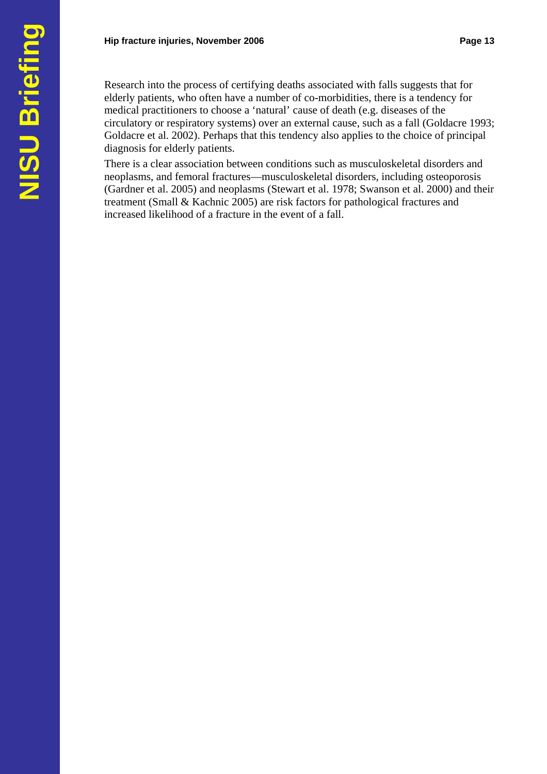Research into the process of certifying deaths associated with falls suggests that for elderly patients, who often have a number of co-morbidities, there is a tendency for medical practitioners to choose a 'natural' cause of death (e.g. diseases of the circulatory or respiratory systems) over an external cause, such as a fall (Goldacre 1993; Goldacre et al. 2002). Perhaps that this tendency also applies to the choice of principal diagnosis for elderly patients.

There is a clear association between conditions such as musculoskeletal disorders and neoplasms, and femoral fractures—musculoskeletal disorders, including osteoporosis (Gardner et al. 2005) and neoplasms (Stewart et al. 1978; Swanson et al. 2000) and their treatment (Small & Kachnic 2005) are risk factors for pathological fractures and increased likelihood of a fracture in the event of a fall.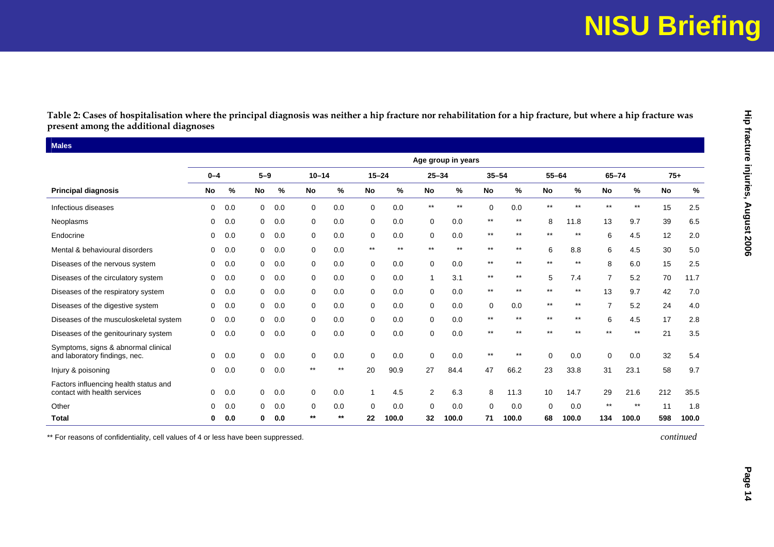# **NISU Briefing**

|                                                                       | $0 - 4$   |     | $5 - 9$      |     | $10 - 14$   |       | $15 - 24$       |       | $25 - 34$       | Age group in years | $35 - 54$   |                 | $55 - 64$       |                 | $65 - 74$      |              | $75+$ |       |
|-----------------------------------------------------------------------|-----------|-----|--------------|-----|-------------|-------|-----------------|-------|-----------------|--------------------|-------------|-----------------|-----------------|-----------------|----------------|--------------|-------|-------|
| <b>Principal diagnosis</b>                                            | <b>No</b> | %   | No           | %   | <b>No</b>   | %     | No              | $\%$  | No              | %                  | <b>No</b>   | $\%$            | <b>No</b>       | $\%$            | No             | $\%$         | No    | %     |
| Infectious diseases                                                   | 0         | 0.0 | 0            | 0.0 | 0           | 0.0   | 0               | 0.0   | $^{\star\star}$ | $^{\star\star}$    | $\mathbf 0$ | 0.0             | $^{\star\star}$ | $^{\star\star}$ | $\star\star$   | $\star\star$ | 15    | 2.5   |
| Neoplasms                                                             | 0         | 0.0 | 0            | 0.0 | 0           | 0.0   | 0               | 0.0   | 0               | 0.0                | $***$       | $***$           | 8               | 11.8            | 13             | 9.7          | 39    | 6.5   |
| Endocrine                                                             | 0         | 0.0 | 0            | 0.0 | 0           | 0.0   | 0               | 0.0   | 0               | 0.0                | $***$       | $***$           | $^{\star\star}$ | $^{\star\star}$ | 6              | 4.5          | 12    | 2.0   |
| Mental & behavioural disorders                                        | 0         | 0.0 | 0            | 0.0 | $\mathbf 0$ | 0.0   | $^{\star\star}$ | $***$ | $^{\star\star}$ | $***$              | $***$       | $^{\star\star}$ | 6               | 8.8             | 6              | 4.5          | 30    | 5.0   |
| Diseases of the nervous system                                        | 0         | 0.0 | 0            | 0.0 | 0           | 0.0   | 0               | 0.0   | $\mathbf 0$     | 0.0                | $***$       | $***$           | $***$           | $^{\star\star}$ | 8              | 6.0          | 15    | 2.5   |
| Diseases of the circulatory system                                    | 0         | 0.0 | 0            | 0.0 | 0           | 0.0   | 0               | 0.0   | 1               | 3.1                | $***$       | $^{\star\star}$ | 5               | 7.4             | $\overline{7}$ | 5.2          | 70    | 11.7  |
| Diseases of the respiratory system                                    | 0         | 0.0 | 0            | 0.0 | $\mathbf 0$ | 0.0   | $\mathbf 0$     | 0.0   | 0               | 0.0                | $***$       | $***$           | $***$           | $***$           | 13             | 9.7          | 42    | 7.0   |
| Diseases of the digestive system                                      | 0         | 0.0 | 0            | 0.0 | 0           | 0.0   | 0               | 0.0   | 0               | 0.0                | 0           | 0.0             | $***$           | $^{\star\star}$ | $\overline{7}$ | 5.2          | 24    | 4.0   |
| Diseases of the musculoskeletal system                                | 0         | 0.0 | 0            | 0.0 | 0           | 0.0   | 0               | 0.0   | 0               | 0.0                | $***$       | $^{\star\star}$ | $\star\star$    | $***$           | 6              | 4.5          | 17    | 2.8   |
| Diseases of the genitourinary system                                  | 0         | 0.0 | $\mathbf{0}$ | 0.0 | 0           | 0.0   | 0               | 0.0   | 0               | 0.0                | **          | $***$           | $***$           | $***$           | $***$          | $***$        | 21    | 3.5   |
| Symptoms, signs & abnormal clinical<br>and laboratory findings, nec.  | 0         | 0.0 | $\mathbf{0}$ | 0.0 | 0           | 0.0   | $\mathbf 0$     | 0.0   | 0               | 0.0                | $***$       | $***$           | $\mathbf 0$     | 0.0             | $\mathbf 0$    | 0.0          | 32    | 5.4   |
| Injury & poisoning                                                    | 0         | 0.0 | $\mathbf{0}$ | 0.0 | $***$       | $***$ | 20              | 90.9  | 27              | 84.4               | 47          | 66.2            | 23              | 33.8            | 31             | 23.1         | 58    | 9.7   |
| Factors influencing health status and<br>contact with health services | 0         | 0.0 | 0            | 0.0 | $\mathbf 0$ | 0.0   | $\mathbf{1}$    | 4.5   | 2               | 6.3                | 8           | 11.3            | 10              | 14.7            | 29             | 21.6         | 212   | 35.5  |
| Other                                                                 | $\Omega$  | 0.0 | $\Omega$     | 0.0 | 0           | 0.0   | $\mathbf 0$     | 0.0   | $\Omega$        | 0.0                | $\Omega$    | 0.0             | 0               | 0.0             | $***$          | $***$        | 11    | 1.8   |
| <b>Total</b>                                                          | 0         | 0.0 | 0            | 0.0 | $***$       | $***$ | 22              | 100.0 | 32              | 100.0              | 71          | 100.0           | 68              | 100.0           | 134            | 100.0        | 598   | 100.0 |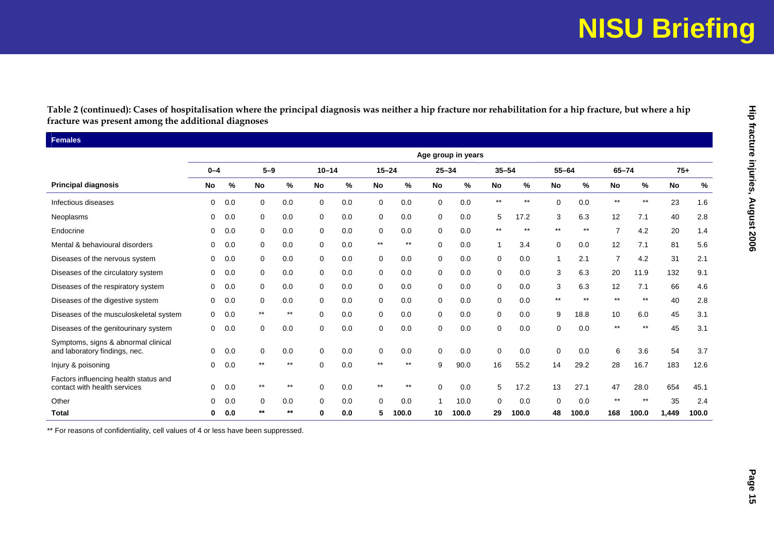# **NISU Briefing**

|                                                                       |             |     |                 |                 |             |      |              |                 |             | Age group in years |                 |       |             |       |                 |              |       |       |
|-----------------------------------------------------------------------|-------------|-----|-----------------|-----------------|-------------|------|--------------|-----------------|-------------|--------------------|-----------------|-------|-------------|-------|-----------------|--------------|-------|-------|
|                                                                       | $0 - 4$     |     | $5-9$           |                 | $10 - 14$   |      | $15 - 24$    |                 | $25 - 34$   |                    | $35 - 54$       |       | $55 - 64$   |       | $65 - 74$       |              | $75+$ |       |
| <b>Principal diagnosis</b>                                            | No          | %   | No              | %               | No          | $\%$ | No           | %               | <b>No</b>   | $\%$               | No              | %     | No          | $\%$  | No              | %            | No    | $\%$  |
| Infectious diseases                                                   | 0           | 0.0 | 0               | 0.0             | $\mathbf 0$ | 0.0  | $\mathbf 0$  | 0.0             | $\mathbf 0$ | 0.0                | $^{\star\star}$ | $***$ | $\mathbf 0$ | 0.0   | $^{\star\star}$ | $\star\star$ | 23    | 1.6   |
| Neoplasms                                                             | 0           | 0.0 | 0               | 0.0             | 0           | 0.0  | $\mathbf 0$  | 0.0             | $\mathbf 0$ | 0.0                | 5               | 17.2  | 3           | 6.3   | 12              | 7.1          | 40    | 2.8   |
| Endocrine                                                             | 0           | 0.0 | 0               | 0.0             | 0           | 0.0  | 0            | 0.0             | 0           | 0.0                | $***$           | $***$ | $***$       | $***$ | $\overline{7}$  | 4.2          | 20    | 1.4   |
| Mental & behavioural disorders                                        | 0           | 0.0 | $\pmb{0}$       | 0.0             | $\mathbf 0$ | 0.0  | $\star\star$ | $^{\star\star}$ | $\mathbf 0$ | 0.0                | -1              | 3.4   | 0           | 0.0   | 12              | 7.1          | 81    | 5.6   |
| Diseases of the nervous system                                        | $\mathbf 0$ | 0.0 | 0               | 0.0             | 0           | 0.0  | $\mathbf 0$  | 0.0             | $\mathbf 0$ | 0.0                | $\mathbf 0$     | 0.0   | -1          | 2.1   | $\overline{7}$  | 4.2          | 31    | 2.1   |
| Diseases of the circulatory system                                    | 0           | 0.0 | 0               | 0.0             | 0           | 0.0  | $\mathbf 0$  | 0.0             | $\mathbf 0$ | 0.0                | 0               | 0.0   | 3           | 6.3   | 20              | 11.9         | 132   | 9.1   |
| Diseases of the respiratory system                                    | 0           | 0.0 | 0               | 0.0             | 0           | 0.0  | $\mathbf 0$  | 0.0             | $\mathbf 0$ | 0.0                | 0               | 0.0   | 3           | 6.3   | 12              | 7.1          | 66    | 4.6   |
| Diseases of the digestive system                                      | $\mathbf 0$ | 0.0 | $\mathbf 0$     | 0.0             | $\mathbf 0$ | 0.0  | $\mathbf 0$  | 0.0             | $\mathbf 0$ | 0.0                | $\mathbf 0$     | 0.0   | **          | $***$ | $***$           | $***$        | 40    | 2.8   |
| Diseases of the musculoskeletal system                                | $\mathbf 0$ | 0.0 | $^{\star\star}$ | $^{\star\star}$ | 0           | 0.0  | $\mathbf 0$  | 0.0             | 0           | 0.0                | 0               | 0.0   | 9           | 18.8  | 10              | 6.0          | 45    | 3.1   |
| Diseases of the genitourinary system                                  | 0           | 0.0 | 0               | 0.0             | 0           | 0.0  | 0            | 0.0             | $\mathbf 0$ | 0.0                | $\mathbf 0$     | 0.0   | $\mathbf 0$ | 0.0   | $***$           | $***$        | 45    | 3.1   |
| Symptoms, signs & abnormal clinical<br>and laboratory findings, nec.  | 0           | 0.0 | 0               | 0.0             | 0           | 0.0  | 0            | 0.0             | $\mathbf 0$ | 0.0                | $\mathbf 0$     | 0.0   | 0           | 0.0   | 6               | 3.6          | 54    | 3.7   |
| Injury & poisoning                                                    | $\mathbf 0$ | 0.0 | $***$           | $***$           | $\mathbf 0$ | 0.0  | $***$        | $***$           | 9           | 90.0               | 16              | 55.2  | 14          | 29.2  | 28              | 16.7         | 183   | 12.6  |
| Factors influencing health status and<br>contact with health services | $\mathbf 0$ | 0.0 | $^{\star\star}$ | $^{\star\star}$ | $\mathbf 0$ | 0.0  | $***$        | $***$           | $\Omega$    | 0.0                | 5               | 17.2  | 13          | 27.1  | 47              | 28.0         | 654   | 45.1  |
| Other                                                                 | 0           | 0.0 | 0               | 0.0             | 0           | 0.0  | 0            | 0.0             |             | 10.0               | $\mathbf 0$     | 0.0   | 0           | 0.0   | $***$           | $***$        | 35    | 2.4   |
| <b>Total</b>                                                          | $\mathbf 0$ | 0.0 | **              | $\star\star$    | $\bf{0}$    | 0.0  | 5            | 100.0           | 10          | 100.0              | 29              | 100.0 | 48          | 100.0 | 168             | 100.0        | 1,449 | 100.0 |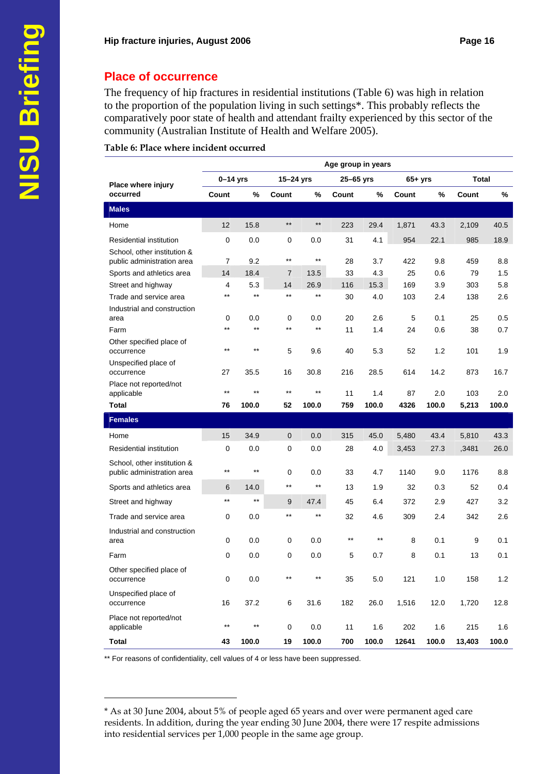The frequency of hip fractures in residential institutions (Table 6) was high in relation to the proportion of the population living in such settings\*. This probably reflects the comparatively poor state of health and attendant frailty experienced by this sector of the community (Australian Institute of Health and Welfare 2005).

#### **Table 6: Place where incident occurred**

|                                                           |                 |                 |                 |              | Age group in years |       |          |       |        |       |
|-----------------------------------------------------------|-----------------|-----------------|-----------------|--------------|--------------------|-------|----------|-------|--------|-------|
| Place where injury                                        | $0-14$ yrs      |                 | 15-24 yrs       |              | $25-65$ yrs        |       | $65+yrs$ |       | Total  |       |
| occurred                                                  | Count           | %               | Count           | %            | Count              | %     | Count    | %     | Count  | %     |
| <b>Males</b>                                              |                 |                 |                 |              |                    |       |          |       |        |       |
| Home                                                      | 12              | 15.8            | $^{\star\star}$ | $***$        | 223                | 29.4  | 1,871    | 43.3  | 2,109  | 40.5  |
| <b>Residential institution</b>                            | 0               | 0.0             | $\mathbf 0$     | 0.0          | 31                 | 4.1   | 954      | 22.1  | 985    | 18.9  |
| School, other institution &<br>public administration area | 7               | 9.2             | $***$           | $***$        | 28                 | 3.7   | 422      | 9.8   | 459    | 8.8   |
| Sports and athletics area                                 | 14              | 18.4            | $\overline{7}$  | 13.5         | 33                 | 4.3   | 25       | 0.6   | 79     | 1.5   |
| Street and highway                                        | 4               | 5.3             | 14              | 26.9         | 116                | 15.3  | 169      | 3.9   | 303    | 5.8   |
| Trade and service area                                    | $***$           | $***$           | $\star\star$    | $***$        | 30                 | 4.0   | 103      | 2.4   | 138    | 2.6   |
| Industrial and construction<br>area                       | 0               | 0.0             | $\mathbf 0$     | 0.0          | 20                 | 2.6   | 5        | 0.1   | 25     | 0.5   |
| Farm                                                      | $***$           | $***$           | $***$           | $***$        | 11                 | 1.4   | 24       | 0.6   | 38     | 0.7   |
| Other specified place of<br>occurrence                    | $***$           | $***$           | 5               | 9.6          | 40                 | 5.3   | 52       | 1.2   | 101    | 1.9   |
| Unspecified place of<br>occurrence                        | 27              | 35.5            | 16              | 30.8         | 216                | 28.5  | 614      | 14.2  | 873    | 16.7  |
| Place not reported/not<br>applicable                      | $***$           | **              | $***$           | $***$        | 11                 | 1.4   | 87       | 2.0   | 103    | 2.0   |
| <b>Total</b>                                              | 76              | 100.0           | 52              | 100.0        | 759                | 100.0 | 4326     | 100.0 | 5,213  | 100.0 |
| <b>Females</b>                                            |                 |                 |                 |              |                    |       |          |       |        |       |
| Home                                                      | 15              | 34.9            | $\mathbf 0$     | 0.0          | 315                | 45.0  | 5,480    | 43.4  | 5,810  | 43.3  |
| <b>Residential institution</b>                            | 0               | 0.0             | $\mathbf 0$     | 0.0          | 28                 | 4.0   | 3,453    | 27.3  | ,3481  | 26.0  |
| School, other institution &<br>public administration area | $***$           | $***$           | $\mathbf 0$     | 0.0          | 33                 | 4.7   | 1140     | 9.0   | 1176   | 8.8   |
| Sports and athletics area                                 | 6               | 14.0            | $^{\star\star}$ | $\star\star$ | 13                 | 1.9   | 32       | 0.3   | 52     | 0.4   |
| Street and highway                                        | $***$           | $***$           | 9               | 47.4         | 45                 | 6.4   | 372      | 2.9   | 427    | 3.2   |
| Trade and service area                                    | 0               | 0.0             | $***$           | $***$        | 32                 | 4.6   | 309      | 2.4   | 342    | 2.6   |
| Industrial and construction<br>area                       | 0               | 0.0             | 0               | 0.0          | $***$              | $***$ | 8        | 0.1   | 9      | 0.1   |
| Farm                                                      | 0               | 0.0             | 0               | 0.0          | 5                  | 0.7   | 8        | 0.1   | 13     | 0.1   |
| Other specified place of<br>occurrence                    | 0               | 0.0             | **              | $***$        | 35                 | 5.0   | 121      | $1.0$ | 158    | $1.2$ |
| Unspecified place of<br>occurrence                        | 16              | 37.2            | 6               | 31.6         | 182                | 26.0  | 1,516    | 12.0  | 1,720  | 12.8  |
| Place not reported/not<br>applicable                      | $^{\star\star}$ | $^{\star\star}$ | $\pmb{0}$       | 0.0          | 11                 | 1.6   | 202      | 1.6   | 215    | 1.6   |
| <b>Total</b>                                              | 43              | 100.0           | 19              | 100.0        | 700                | 100.0 | 12641    | 100.0 | 13,403 | 100.0 |

\*\* For reasons of confidentiality, cell values of 4 or less have been suppressed.

 $\overline{a}$ 

<sup>\*</sup> As at 30 June 2004, about 5% of people aged 65 years and over were permanent aged care residents. In addition, during the year ending 30 June 2004, there were 17 respite admissions into residential services per 1,000 people in the same age group.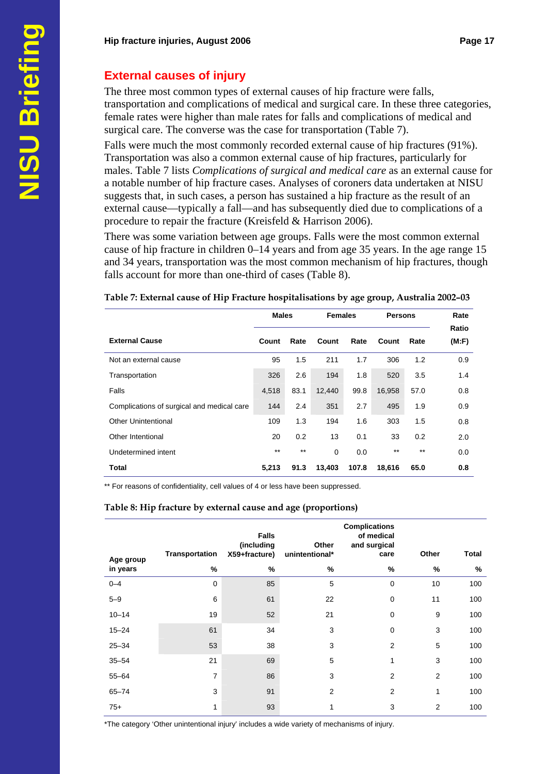# **External causes of injury**

The three most common types of external causes of hip fracture were falls, transportation and complications of medical and surgical care. In these three categories, female rates were higher than male rates for falls and complications of medical and surgical care. The converse was the case for transportation (Table 7).

Falls were much the most commonly recorded external cause of hip fractures (91%). Transportation was also a common external cause of hip fractures, particularly for males. Table 7 lists *Complications of surgical and medical care* as an external cause for a notable number of hip fracture cases. Analyses of coroners data undertaken at NISU suggests that, in such cases, a person has sustained a hip fracture as the result of an external cause—typically a fall—and has subsequently died due to complications of a procedure to repair the fracture (Kreisfeld & Harrison 2006).

There was some variation between age groups. Falls were the most common external cause of hip fracture in children 0–14 years and from age 35 years. In the age range 15 and 34 years, transportation was the most common mechanism of hip fractures, though falls account for more than one-third of cases (Table 8).

|                                            | <b>Males</b> |       | <b>Females</b> |       | <b>Persons</b> | Rate<br>Ratio |       |
|--------------------------------------------|--------------|-------|----------------|-------|----------------|---------------|-------|
| <b>External Cause</b>                      | Count        | Rate  | Count          | Rate  | Count          | Rate          | (M:F) |
| Not an external cause                      | 95           | 1.5   | 211            | 1.7   | 306            | 1.2           | 0.9   |
| Transportation                             | 326          | 2.6   | 194            | 1.8   | 520            | 3.5           | 1.4   |
| Falls                                      | 4,518        | 83.1  | 12,440         | 99.8  | 16,958         | 57.0          | 0.8   |
| Complications of surgical and medical care | 144          | 2.4   | 351            | 2.7   | 495            | 1.9           | 0.9   |
| Other Unintentional                        | 109          | 1.3   | 194            | 1.6   | 303            | 1.5           | 0.8   |
| Other Intentional                          | 20           | 0.2   | 13             | 0.1   | 33             | 0.2           | 2.0   |
| Undetermined intent                        | $***$        | $***$ | 0              | 0.0   | $***$          | $***$         | 0.0   |
| <b>Total</b>                               | 5,213        | 91.3  | 13,403         | 107.8 | 18,616         | 65.0          | 0.8   |

#### **Table 7: External cause of Hip Fracture hospitalisations by age group, Australia 2002–03**

\*\* For reasons of confidentiality, cell values of 4 or less have been suppressed.

#### **Table 8: Hip fracture by external cause and age (proportions)**

|                       | Transportation | <b>Falls</b><br>(including<br>X59+fracture) | Other<br>unintentional* | <b>Complications</b><br>of medical<br>and surgical<br>care | Other | Total |
|-----------------------|----------------|---------------------------------------------|-------------------------|------------------------------------------------------------|-------|-------|
| Age group<br>in years | %              | %                                           | %                       | %                                                          | %     | %     |
| $0 - 4$               | $\mathbf 0$    | 85                                          | 5                       | 0                                                          | 10    | 100   |
| $5 - 9$               | 6              | 61                                          | 22                      | 0                                                          | 11    | 100   |
| $10 - 14$             | 19             | 52                                          | 21                      | $\mathbf 0$                                                | 9     | 100   |
| $15 - 24$             | 61             | 34                                          | 3                       | 0                                                          | 3     | 100   |
| $25 - 34$             | 53             | 38                                          | 3                       | $\overline{2}$                                             | 5     | 100   |
| $35 - 54$             | 21             | 69                                          | 5                       | 1                                                          | 3     | 100   |
| $55 - 64$             | $\overline{7}$ | 86                                          | 3                       | $\overline{2}$                                             | 2     | 100   |
| $65 - 74$             | 3              | 91                                          | $\overline{2}$          | $\overline{2}$                                             | 1     | 100   |
| $75+$                 | 1              | 93                                          | 1                       | 3                                                          | 2     | 100   |

\*The category 'Other unintentional injury' includes a wide variety of mechanisms of injury.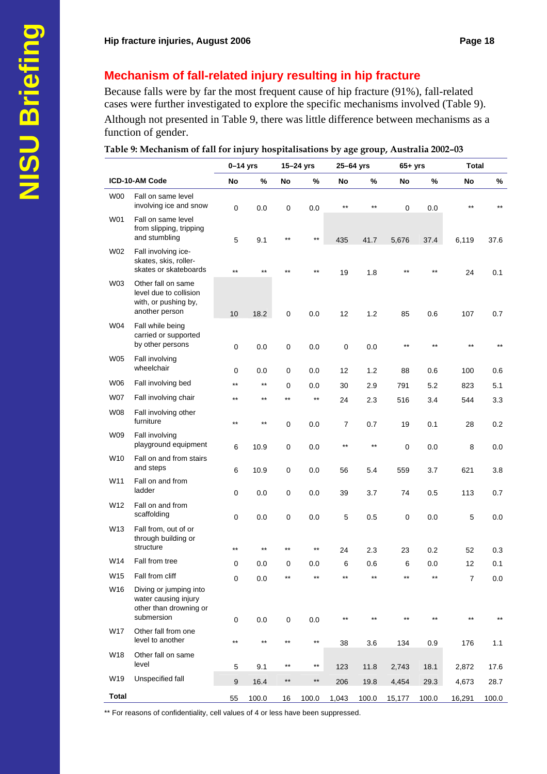# **Mechanism of fall-related injury resulting in hip fracture**

Because falls were by far the most frequent cause of hip fracture (91%), fall-related cases were further investigated to explore the specific mechanisms involved (Table 9). Although not presented in Table 9, there was little difference between mechanisms as a function of gender.

|  | Table 9: Mechanism of fall for injury hospitalisations by age group, Australia 2002–03 |  |
|--|----------------------------------------------------------------------------------------|--|
|  |                                                                                        |  |
|  |                                                                                        |  |

| ICD-10-AM Code<br>%<br>%<br>%<br>%<br>No<br>No<br>No<br>No<br>No<br>W <sub>00</sub><br>Fall on same level<br>involving ice and snow<br>$***$<br>**<br>**<br>$\pmb{0}$<br>0.0<br>$\mathbf 0$<br>0.0<br>$\pmb{0}$<br>0.0<br>W01<br>Fall on same level<br>from slipping, tripping<br>and stumbling<br>$\star\star$<br>$***$<br>5<br>9.1<br>435<br>41.7<br>5,676<br>37.4<br>6,119<br>W02<br>Fall involving ice-<br>skates, skis, roller-<br>skates or skateboards<br>$***$<br>$**$<br>**<br>$***$<br>19<br>1.8<br>24<br>W03<br>Other fall on same<br>level due to collision<br>with, or pushing by,<br>another person<br>10<br>18.2<br>1.2<br>0<br>0.0<br>12<br>85<br>0.6<br>107<br>W04<br>Fall while being<br>carried or supported<br>by other persons<br>$***$<br>$***$<br>$***$<br>0.0<br>0<br>0<br>0.0<br>0<br>0.0 |  | $0-14$ yrs | 15-24 yrs | 25-64 yrs | $65+yrs$ |  | <b>Total</b> |              |
|--------------------------------------------------------------------------------------------------------------------------------------------------------------------------------------------------------------------------------------------------------------------------------------------------------------------------------------------------------------------------------------------------------------------------------------------------------------------------------------------------------------------------------------------------------------------------------------------------------------------------------------------------------------------------------------------------------------------------------------------------------------------------------------------------------------------|--|------------|-----------|-----------|----------|--|--------------|--------------|
|                                                                                                                                                                                                                                                                                                                                                                                                                                                                                                                                                                                                                                                                                                                                                                                                                    |  |            |           |           |          |  |              | %            |
|                                                                                                                                                                                                                                                                                                                                                                                                                                                                                                                                                                                                                                                                                                                                                                                                                    |  |            |           |           |          |  |              |              |
|                                                                                                                                                                                                                                                                                                                                                                                                                                                                                                                                                                                                                                                                                                                                                                                                                    |  |            |           |           |          |  |              | 37.6         |
|                                                                                                                                                                                                                                                                                                                                                                                                                                                                                                                                                                                                                                                                                                                                                                                                                    |  |            |           |           |          |  |              | 0.1          |
|                                                                                                                                                                                                                                                                                                                                                                                                                                                                                                                                                                                                                                                                                                                                                                                                                    |  |            |           |           |          |  |              | 0.7          |
|                                                                                                                                                                                                                                                                                                                                                                                                                                                                                                                                                                                                                                                                                                                                                                                                                    |  |            |           |           |          |  |              | $***$        |
| <b>W05</b><br>Fall involving<br>wheelchair<br>0<br>0.0<br>0<br>0.0<br>12<br>1.2<br>88<br>0.6<br>100                                                                                                                                                                                                                                                                                                                                                                                                                                                                                                                                                                                                                                                                                                                |  |            |           |           |          |  |              | 0.6          |
| <b>W06</b><br>Fall involving bed<br>$***$<br>$^{\star\star}$<br>0<br>0.0<br>30<br>2.9<br>791<br>5.2<br>823                                                                                                                                                                                                                                                                                                                                                                                                                                                                                                                                                                                                                                                                                                         |  |            |           |           |          |  |              | 5.1          |
| <b>W07</b><br>Fall involving chair<br>$***$<br>$***$<br>$***$<br>$^{\star\star}$<br>24<br>2.3<br>516<br>3.4<br>544                                                                                                                                                                                                                                                                                                                                                                                                                                                                                                                                                                                                                                                                                                 |  |            |           |           |          |  |              | 3.3          |
| <b>W08</b><br>Fall involving other<br>furniture<br>$^{\star\star}$<br>$***$<br>0.0<br>19<br>0<br>7<br>0.7<br>0.1<br>28                                                                                                                                                                                                                                                                                                                                                                                                                                                                                                                                                                                                                                                                                             |  |            |           |           |          |  |              | 0.2          |
| W09<br>Fall involving<br>playground equipment<br>$***$<br>$***$<br>6<br>10.9<br>0<br>0.0<br>0<br>0.0<br>8                                                                                                                                                                                                                                                                                                                                                                                                                                                                                                                                                                                                                                                                                                          |  |            |           |           |          |  |              | 0.0          |
| W10<br>Fall on and from stairs<br>and steps<br>6<br>10.9<br>0<br>0.0<br>56<br>5.4<br>559<br>3.7<br>621                                                                                                                                                                                                                                                                                                                                                                                                                                                                                                                                                                                                                                                                                                             |  |            |           |           |          |  |              | 3.8          |
| W11<br>Fall on and from<br>ladder                                                                                                                                                                                                                                                                                                                                                                                                                                                                                                                                                                                                                                                                                                                                                                                  |  |            |           |           |          |  |              |              |
| 0.0<br>0<br>0.0<br>0<br>39<br>3.7<br>74<br>0.5<br>113<br>W12<br>Fall on and from                                                                                                                                                                                                                                                                                                                                                                                                                                                                                                                                                                                                                                                                                                                                   |  |            |           |           |          |  |              | 0.7          |
| scaffolding<br>0.0<br>$\mathbf 0$<br>5<br>0<br>0.0<br>5<br>0.5<br>0<br>0.0                                                                                                                                                                                                                                                                                                                                                                                                                                                                                                                                                                                                                                                                                                                                         |  |            |           |           |          |  |              | 0.0          |
| W13<br>Fall from, out of or<br>through building or<br>structure                                                                                                                                                                                                                                                                                                                                                                                                                                                                                                                                                                                                                                                                                                                                                    |  |            |           |           |          |  |              |              |
| $***$<br>$***$<br>$***$<br>$***$<br>24<br>2.3<br>0.2<br>23<br>52<br>W14<br>Fall from tree                                                                                                                                                                                                                                                                                                                                                                                                                                                                                                                                                                                                                                                                                                                          |  |            |           |           |          |  |              | 0.3          |
| 0<br>0<br>6<br>0.6<br>6<br>0.0<br>12<br>0.0<br>0.0<br>W15<br>Fall from cliff<br>$***$                                                                                                                                                                                                                                                                                                                                                                                                                                                                                                                                                                                                                                                                                                                              |  |            |           |           |          |  |              | 0.1          |
| $\pmb{0}$<br>0.0<br>$\overline{7}$<br>W16<br>Diving or jumping into<br>water causing injury<br>other than drowning or<br>submersion<br>0.0<br>$***$<br>$***$<br>$\mathbf 0$<br>0.0<br>$\mathbf 0$<br>$***$                                                                                                                                                                                                                                                                                                                                                                                                                                                                                                                                                                                                         |  |            |           |           |          |  |              | 0.0<br>$***$ |
| W17<br>Other fall from one<br>level to another<br>$***$<br>$***$<br>$***$<br>$^{\star\star}$<br>38<br>3.6<br>134<br>0.9<br>176                                                                                                                                                                                                                                                                                                                                                                                                                                                                                                                                                                                                                                                                                     |  |            |           |           |          |  |              | 1.1          |
| W18<br>Other fall on same<br>level                                                                                                                                                                                                                                                                                                                                                                                                                                                                                                                                                                                                                                                                                                                                                                                 |  |            |           |           |          |  |              |              |
| 9.1<br>$***$<br>$^{\star\star}$<br>5<br>11.8<br>18.1<br>123<br>2,743<br>2,872<br>Unspecified fall<br>W19<br>$***$<br>$***$<br>$\boldsymbol{9}$<br>16.4<br>206<br>19.8<br>4,454<br>29.3<br>4,673                                                                                                                                                                                                                                                                                                                                                                                                                                                                                                                                                                                                                    |  |            |           |           |          |  |              | 17.6<br>28.7 |
| <b>Total</b><br>55<br>100.0<br>100.0<br>1,043<br>100.0<br>15,177<br>100.0<br>16,291<br>16                                                                                                                                                                                                                                                                                                                                                                                                                                                                                                                                                                                                                                                                                                                          |  |            |           |           |          |  |              | 100.0        |

\*\* For reasons of confidentiality, cell values of 4 or less have been suppressed.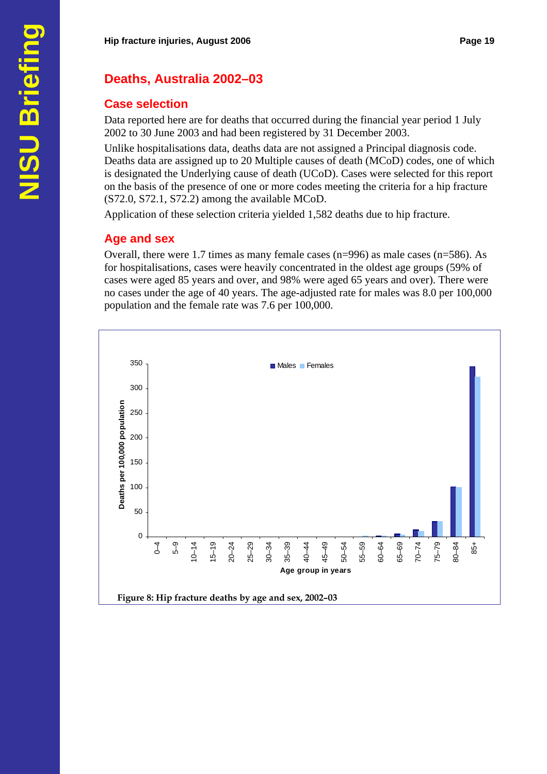# **Deaths, Australia 2002–03**

#### **Case selection**

Data reported here are for deaths that occurred during the financial year period 1 July 2002 to 30 June 2003 and had been registered by 31 December 2003.

Unlike hospitalisations data, deaths data are not assigned a Principal diagnosis code. Deaths data are assigned up to 20 Multiple causes of death (MCoD) codes, one of which is designated the Underlying cause of death (UCoD). Cases were selected for this report on the basis of the presence of one or more codes meeting the criteria for a hip fracture (S72.0, S72.1, S72.2) among the available MCoD.

Application of these selection criteria yielded 1,582 deaths due to hip fracture.

#### **Age and sex**

Overall, there were 1.7 times as many female cases (n=996) as male cases (n=586). As for hospitalisations, cases were heavily concentrated in the oldest age groups (59% of cases were aged 85 years and over, and 98% were aged 65 years and over). There were no cases under the age of 40 years. The age-adjusted rate for males was 8.0 per 100,000 population and the female rate was 7.6 per 100,000.

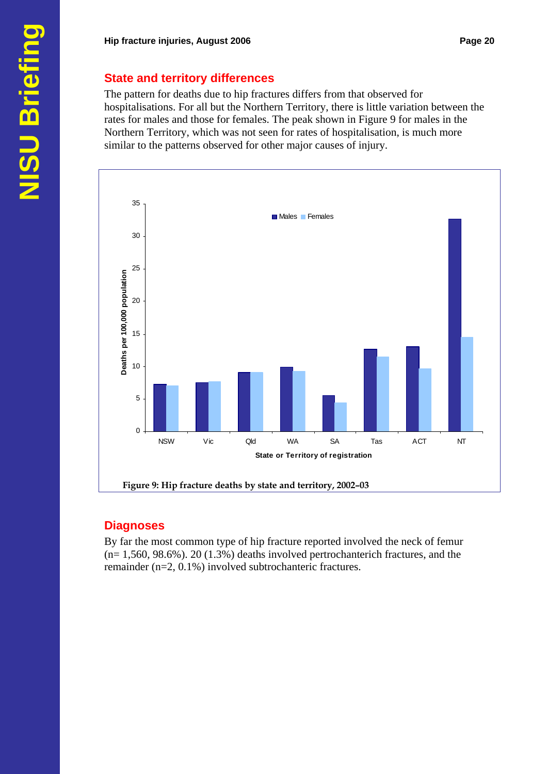#### **State and territory differences**

The pattern for deaths due to hip fractures differs from that observed for hospitalisations. For all but the Northern Territory, there is little variation between the rates for males and those for females. The peak shown in Figure 9 for males in the Northern Territory, which was not seen for rates of hospitalisation, is much more similar to the patterns observed for other major causes of injury.



#### **Diagnoses**

By far the most common type of hip fracture reported involved the neck of femur  $(n= 1,560, 98.6\%)$ . 20 (1.3%) deaths involved pertrochanterich fractures, and the remainder (n=2, 0.1%) involved subtrochanteric fractures.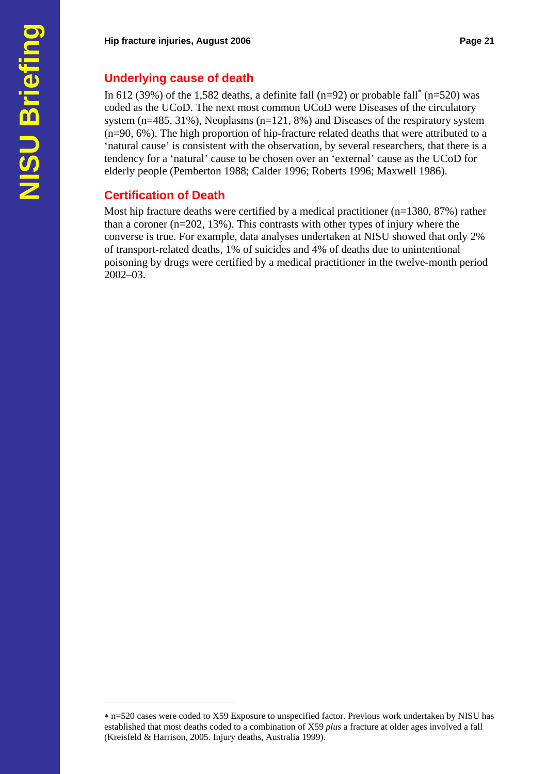#### **Underlying cause of death**

In 612 (39%) of the 1,582 deaths, a definite fall (n=92) or probable fall<sup>\*</sup> (n=520) was coded as the UCoD. The next most common UCoD were Diseases of the circulatory system  $(n=485, 31\%)$ , Neoplasms  $(n=121, 8\%)$  and Diseases of the respiratory system (n=90, 6%). The high proportion of hip-fracture related deaths that were attributed to a 'natural cause' is consistent with the observation, by several researchers, that there is a tendency for a 'natural' cause to be chosen over an 'external' cause as the UCoD for elderly people (Pemberton 1988; Calder 1996; Roberts 1996; Maxwell 1986).

#### **Certification of Death**

 $\overline{a}$ 

Most hip fracture deaths were certified by a medical practitioner (n=1380, 87%) rather than a coroner (n=202, 13%). This contrasts with other types of injury where the converse is true. For example, data analyses undertaken at NISU showed that only 2% of transport-related deaths, 1% of suicides and 4% of deaths due to unintentional poisoning by drugs were certified by a medical practitioner in the twelve-month period 2002–03.

<sup>∗</sup> n=520 cases were coded to X59 Exposure to unspecified factor. Previous work undertaken by NISU has established that most deaths coded to a combination of X59 *plus* a fracture at older ages involved a fall (Kreisfeld & Harrison, 2005. Injury deaths, Australia 1999).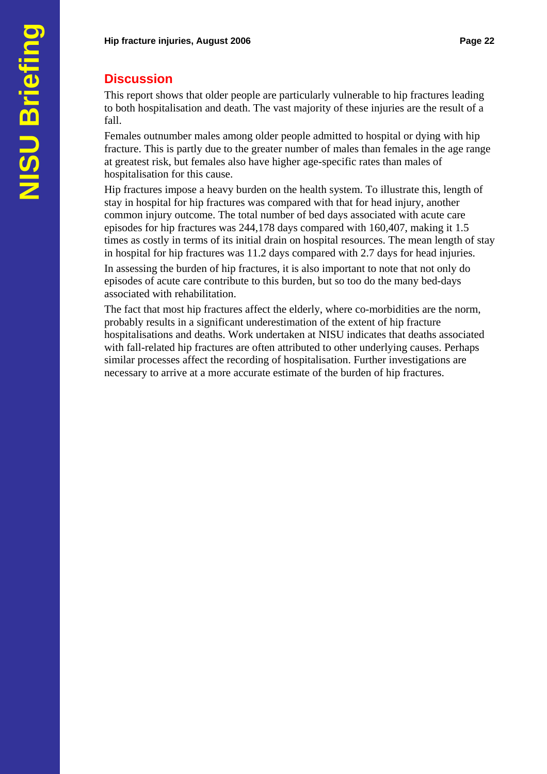# **Discussion**

This report shows that older people are particularly vulnerable to hip fractures leading to both hospitalisation and death. The vast majority of these injuries are the result of a fall.

Females outnumber males among older people admitted to hospital or dying with hip fracture. This is partly due to the greater number of males than females in the age range at greatest risk, but females also have higher age-specific rates than males of hospitalisation for this cause.

Hip fractures impose a heavy burden on the health system. To illustrate this, length of stay in hospital for hip fractures was compared with that for head injury, another common injury outcome. The total number of bed days associated with acute care episodes for hip fractures was 244,178 days compared with 160,407, making it 1.5 times as costly in terms of its initial drain on hospital resources. The mean length of stay in hospital for hip fractures was 11.2 days compared with 2.7 days for head injuries.

In assessing the burden of hip fractures, it is also important to note that not only do episodes of acute care contribute to this burden, but so too do the many bed-days associated with rehabilitation.

The fact that most hip fractures affect the elderly, where co-morbidities are the norm, probably results in a significant underestimation of the extent of hip fracture hospitalisations and deaths. Work undertaken at NISU indicates that deaths associated with fall-related hip fractures are often attributed to other underlying causes. Perhaps similar processes affect the recording of hospitalisation. Further investigations are necessary to arrive at a more accurate estimate of the burden of hip fractures.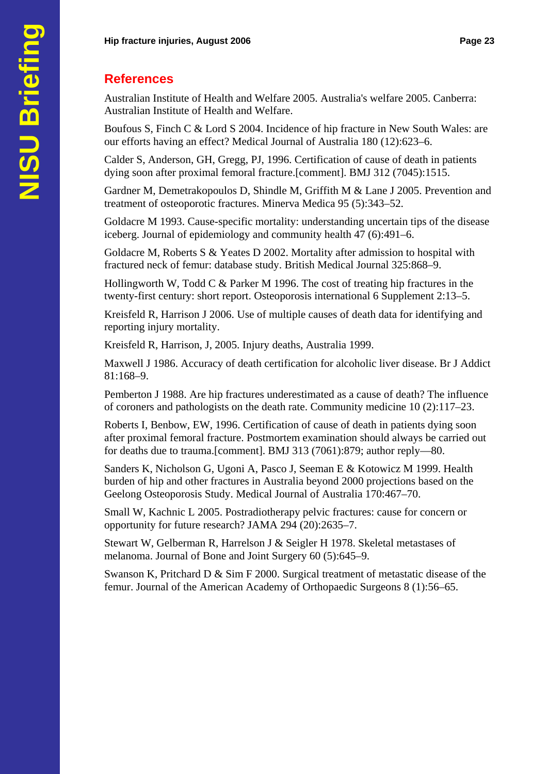# **References**

Australian Institute of Health and Welfare 2005. Australia's welfare 2005. Canberra: Australian Institute of Health and Welfare.

Boufous S, Finch C & Lord S 2004. Incidence of hip fracture in New South Wales: are our efforts having an effect? Medical Journal of Australia 180 (12):623–6.

Calder S, Anderson, GH, Gregg, PJ, 1996. Certification of cause of death in patients dying soon after proximal femoral fracture.[comment]. BMJ 312 (7045):1515.

Gardner M, Demetrakopoulos D, Shindle M, Griffith M & Lane J 2005. Prevention and treatment of osteoporotic fractures. Minerva Medica 95 (5):343–52.

Goldacre M 1993. Cause-specific mortality: understanding uncertain tips of the disease iceberg. Journal of epidemiology and community health 47 (6):491–6.

Goldacre M, Roberts S & Yeates D 2002. Mortality after admission to hospital with fractured neck of femur: database study. British Medical Journal 325:868–9.

Hollingworth W, Todd C & Parker M 1996. The cost of treating hip fractures in the twenty-first century: short report. Osteoporosis international 6 Supplement 2:13–5.

Kreisfeld R, Harrison J 2006. Use of multiple causes of death data for identifying and reporting injury mortality.

Kreisfeld R, Harrison, J, 2005. Injury deaths, Australia 1999.

Maxwell J 1986. Accuracy of death certification for alcoholic liver disease. Br J Addict 81:168–9.

Pemberton J 1988. Are hip fractures underestimated as a cause of death? The influence of coroners and pathologists on the death rate. Community medicine 10 (2):117–23.

Roberts I, Benbow, EW, 1996. Certification of cause of death in patients dying soon after proximal femoral fracture. Postmortem examination should always be carried out for deaths due to trauma.[comment]. BMJ 313 (7061):879; author reply—80.

Sanders K, Nicholson G, Ugoni A, Pasco J, Seeman E & Kotowicz M 1999. Health burden of hip and other fractures in Australia beyond 2000 projections based on the Geelong Osteoporosis Study. Medical Journal of Australia 170:467–70.

Small W, Kachnic L 2005. Postradiotherapy pelvic fractures: cause for concern or opportunity for future research? JAMA 294 (20):2635–7.

Stewart W, Gelberman R, Harrelson J & Seigler H 1978. Skeletal metastases of melanoma. Journal of Bone and Joint Surgery 60 (5):645–9.

Swanson K, Pritchard D & Sim F 2000. Surgical treatment of metastatic disease of the femur. Journal of the American Academy of Orthopaedic Surgeons 8 (1):56–65.